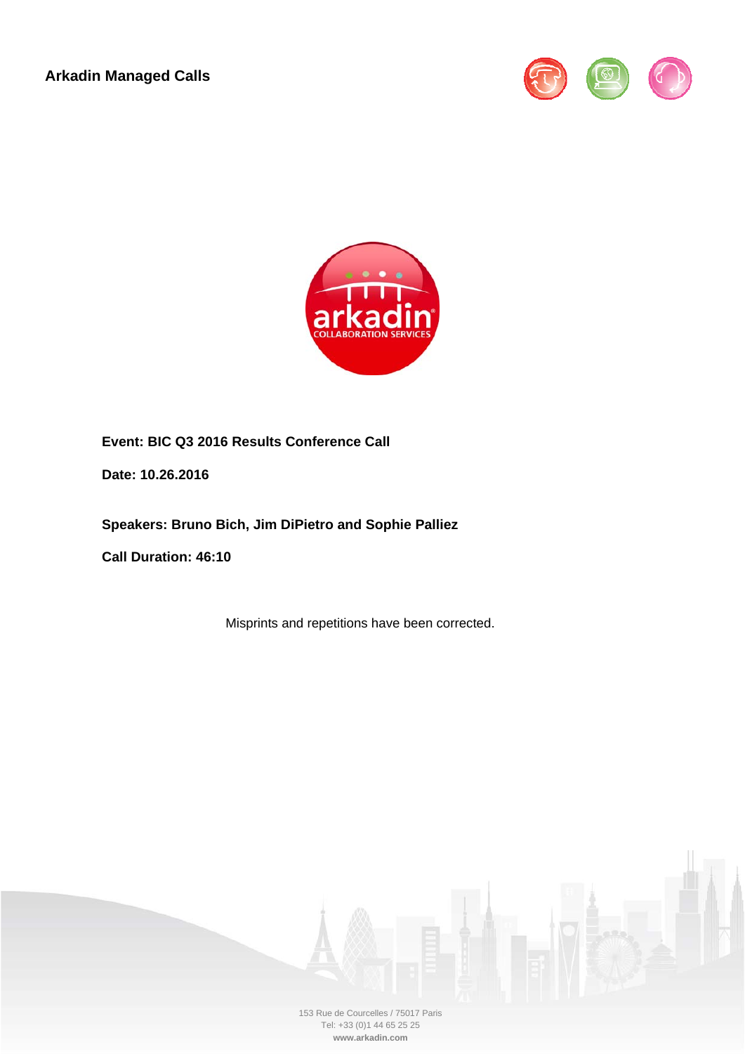**Arkadin Managed Calls** 





**Event: BIC Q3 2016 Results Conference Call** 

**Date: 10.26.2016** 

**Speakers: Bruno Bich, Jim DiPietro and Sophie Palliez** 

**Call Duration: 46:10** 

Misprints and repetitions have been corrected.

153 Rue de Courcelles / 75017 Paris Tel: +33 (0)1 44 65 25 25 **www.arkadin.com**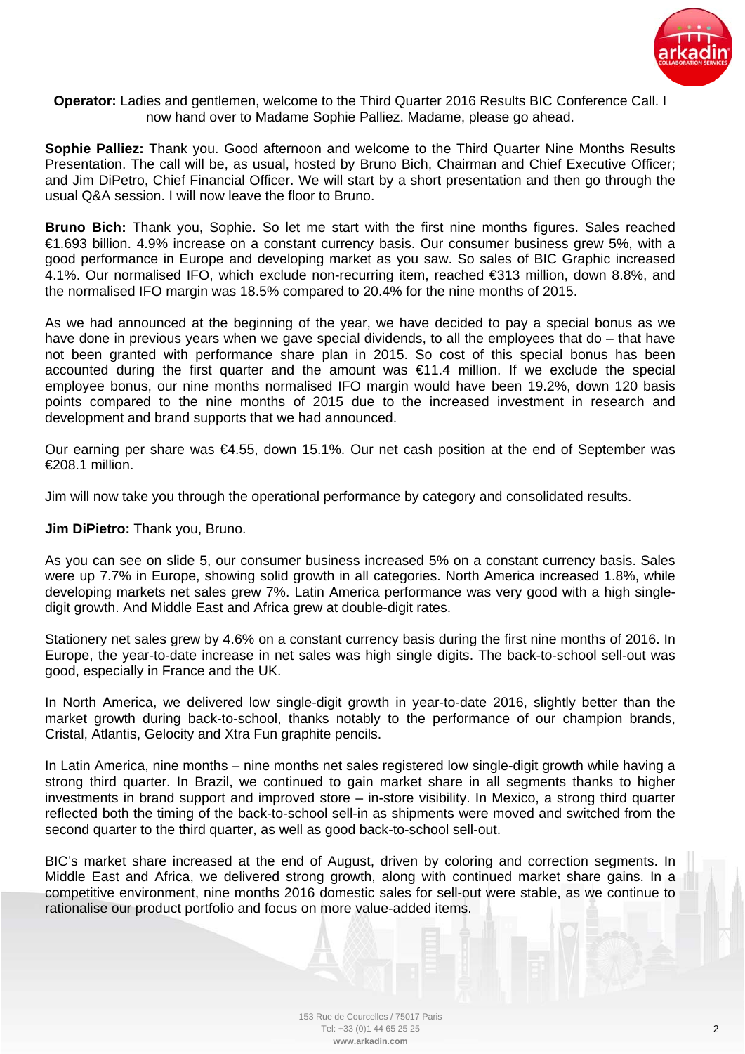

**Operator:** Ladies and gentlemen, welcome to the Third Quarter 2016 Results BIC Conference Call. I now hand over to Madame Sophie Palliez. Madame, please go ahead.

**Sophie Palliez:** Thank you. Good afternoon and welcome to the Third Quarter Nine Months Results Presentation. The call will be, as usual, hosted by Bruno Bich, Chairman and Chief Executive Officer; and Jim DiPetro, Chief Financial Officer. We will start by a short presentation and then go through the usual Q&A session. I will now leave the floor to Bruno.

**Bruno Bich:** Thank you, Sophie. So let me start with the first nine months figures. Sales reached €1.693 billion. 4.9% increase on a constant currency basis. Our consumer business grew 5%, with a good performance in Europe and developing market as you saw. So sales of BIC Graphic increased 4.1%. Our normalised IFO, which exclude non-recurring item, reached €313 million, down 8.8%, and the normalised IFO margin was 18.5% compared to 20.4% for the nine months of 2015.

As we had announced at the beginning of the year, we have decided to pay a special bonus as we have done in previous years when we gave special dividends, to all the employees that do – that have not been granted with performance share plan in 2015. So cost of this special bonus has been accounted during the first quarter and the amount was  $\epsilon$ 11.4 million. If we exclude the special employee bonus, our nine months normalised IFO margin would have been 19.2%, down 120 basis points compared to the nine months of 2015 due to the increased investment in research and development and brand supports that we had announced.

Our earning per share was €4.55, down 15.1%. Our net cash position at the end of September was €208.1 million.

Jim will now take you through the operational performance by category and consolidated results.

**Jim DiPietro:** Thank you, Bruno.

As you can see on slide 5, our consumer business increased 5% on a constant currency basis. Sales were up 7.7% in Europe, showing solid growth in all categories. North America increased 1.8%, while developing markets net sales grew 7%. Latin America performance was very good with a high singledigit growth. And Middle East and Africa grew at double-digit rates.

Stationery net sales grew by 4.6% on a constant currency basis during the first nine months of 2016. In Europe, the year-to-date increase in net sales was high single digits. The back-to-school sell-out was good, especially in France and the UK.

In North America, we delivered low single-digit growth in year-to-date 2016, slightly better than the market growth during back-to-school, thanks notably to the performance of our champion brands, Cristal, Atlantis, Gelocity and Xtra Fun graphite pencils.

In Latin America, nine months – nine months net sales registered low single-digit growth while having a strong third quarter. In Brazil, we continued to gain market share in all segments thanks to higher investments in brand support and improved store – in-store visibility. In Mexico, a strong third quarter reflected both the timing of the back-to-school sell-in as shipments were moved and switched from the second quarter to the third quarter, as well as good back-to-school sell-out.

BIC's market share increased at the end of August, driven by coloring and correction segments. In Middle East and Africa, we delivered strong growth, along with continued market share gains. In a competitive environment, nine months 2016 domestic sales for sell-out were stable, as we continue to rationalise our product portfolio and focus on more value-added items.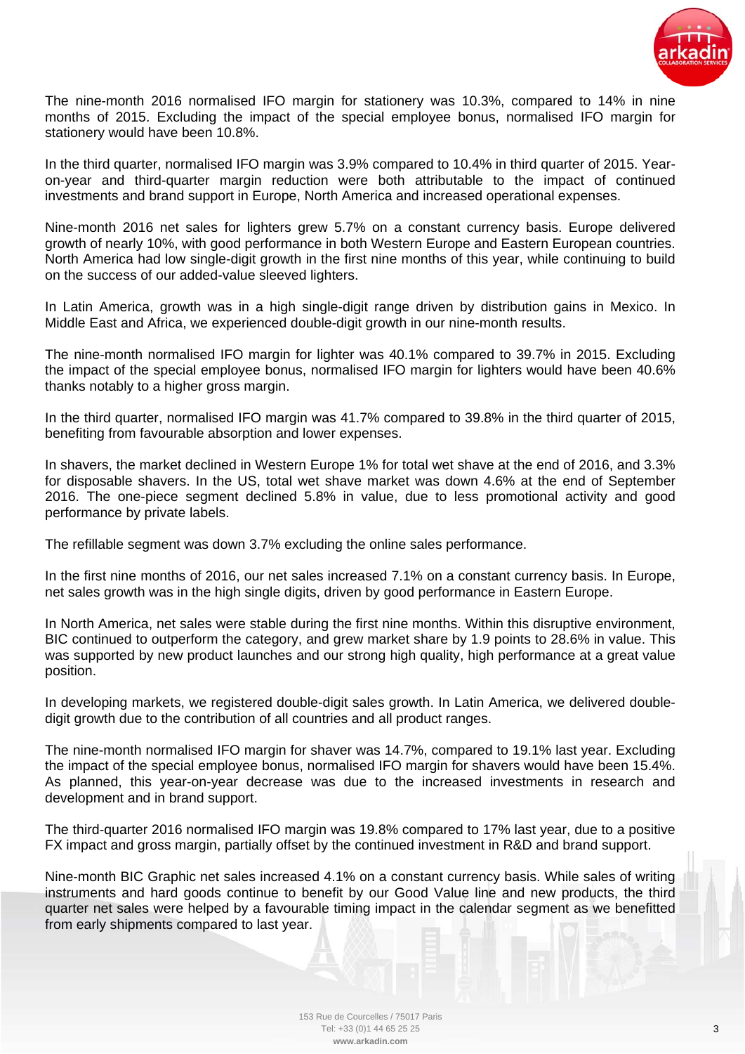

The nine-month 2016 normalised IFO margin for stationery was 10.3%, compared to 14% in nine months of 2015. Excluding the impact of the special employee bonus, normalised IFO margin for stationery would have been 10.8%.

In the third quarter, normalised IFO margin was 3.9% compared to 10.4% in third quarter of 2015. Yearon-year and third-quarter margin reduction were both attributable to the impact of continued investments and brand support in Europe, North America and increased operational expenses.

Nine-month 2016 net sales for lighters grew 5.7% on a constant currency basis. Europe delivered growth of nearly 10%, with good performance in both Western Europe and Eastern European countries. North America had low single-digit growth in the first nine months of this year, while continuing to build on the success of our added-value sleeved lighters.

In Latin America, growth was in a high single-digit range driven by distribution gains in Mexico. In Middle East and Africa, we experienced double-digit growth in our nine-month results.

The nine-month normalised IFO margin for lighter was 40.1% compared to 39.7% in 2015. Excluding the impact of the special employee bonus, normalised IFO margin for lighters would have been 40.6% thanks notably to a higher gross margin.

In the third quarter, normalised IFO margin was 41.7% compared to 39.8% in the third quarter of 2015, benefiting from favourable absorption and lower expenses.

In shavers, the market declined in Western Europe 1% for total wet shave at the end of 2016, and 3.3% for disposable shavers. In the US, total wet shave market was down 4.6% at the end of September 2016. The one-piece segment declined 5.8% in value, due to less promotional activity and good performance by private labels.

The refillable segment was down 3.7% excluding the online sales performance.

In the first nine months of 2016, our net sales increased 7.1% on a constant currency basis. In Europe, net sales growth was in the high single digits, driven by good performance in Eastern Europe.

In North America, net sales were stable during the first nine months. Within this disruptive environment, BIC continued to outperform the category, and grew market share by 1.9 points to 28.6% in value. This was supported by new product launches and our strong high quality, high performance at a great value position.

In developing markets, we registered double-digit sales growth. In Latin America, we delivered doubledigit growth due to the contribution of all countries and all product ranges.

The nine-month normalised IFO margin for shaver was 14.7%, compared to 19.1% last year. Excluding the impact of the special employee bonus, normalised IFO margin for shavers would have been 15.4%. As planned, this year-on-year decrease was due to the increased investments in research and development and in brand support.

The third-quarter 2016 normalised IFO margin was 19.8% compared to 17% last year, due to a positive FX impact and gross margin, partially offset by the continued investment in R&D and brand support.

Nine-month BIC Graphic net sales increased 4.1% on a constant currency basis. While sales of writing instruments and hard goods continue to benefit by our Good Value line and new products, the third quarter net sales were helped by a favourable timing impact in the calendar segment as we benefitted from early shipments compared to last year.

> 153 Rue de Courcelles / 75017 Paris Tel: +33 (0)1 44 65 25 25 **www.arkadin.com**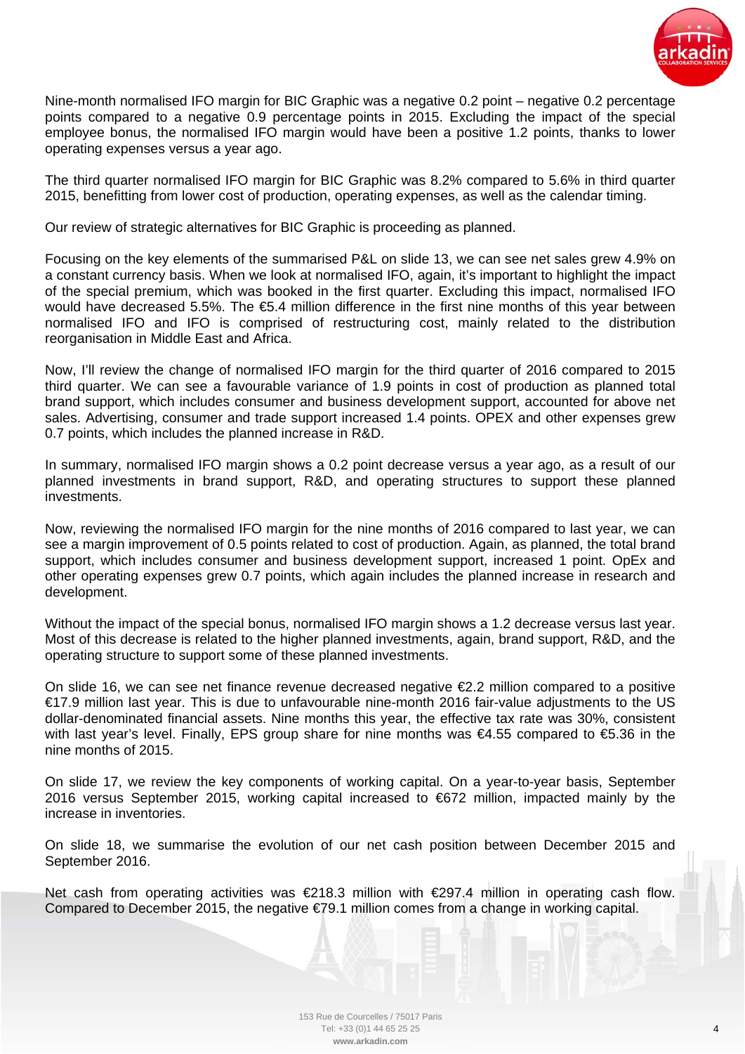

Nine-month normalised IFO margin for BIC Graphic was a negative 0.2 point – negative 0.2 percentage points compared to a negative 0.9 percentage points in 2015. Excluding the impact of the special employee bonus, the normalised IFO margin would have been a positive 1.2 points, thanks to lower operating expenses versus a year ago.

The third quarter normalised IFO margin for BIC Graphic was 8.2% compared to 5.6% in third quarter 2015, benefitting from lower cost of production, operating expenses, as well as the calendar timing.

Our review of strategic alternatives for BIC Graphic is proceeding as planned.

Focusing on the key elements of the summarised P&L on slide 13, we can see net sales grew 4.9% on a constant currency basis. When we look at normalised IFO, again, it's important to highlight the impact of the special premium, which was booked in the first quarter. Excluding this impact, normalised IFO would have decreased 5.5%. The €5.4 million difference in the first nine months of this year between normalised IFO and IFO is comprised of restructuring cost, mainly related to the distribution reorganisation in Middle East and Africa.

Now, I'll review the change of normalised IFO margin for the third quarter of 2016 compared to 2015 third quarter. We can see a favourable variance of 1.9 points in cost of production as planned total brand support, which includes consumer and business development support, accounted for above net sales. Advertising, consumer and trade support increased 1.4 points. OPEX and other expenses grew 0.7 points, which includes the planned increase in R&D.

In summary, normalised IFO margin shows a 0.2 point decrease versus a year ago, as a result of our planned investments in brand support, R&D, and operating structures to support these planned investments.

Now, reviewing the normalised IFO margin for the nine months of 2016 compared to last year, we can see a margin improvement of 0.5 points related to cost of production. Again, as planned, the total brand support, which includes consumer and business development support, increased 1 point. OpEx and other operating expenses grew 0.7 points, which again includes the planned increase in research and development.

Without the impact of the special bonus, normalised IFO margin shows a 1.2 decrease versus last year. Most of this decrease is related to the higher planned investments, again, brand support, R&D, and the operating structure to support some of these planned investments.

On slide 16, we can see net finance revenue decreased negative €2.2 million compared to a positive €17.9 million last year. This is due to unfavourable nine-month 2016 fair-value adjustments to the US dollar-denominated financial assets. Nine months this year, the effective tax rate was 30%, consistent with last year's level. Finally, EPS group share for nine months was €4.55 compared to €5.36 in the nine months of 2015.

On slide 17, we review the key components of working capital. On a year-to-year basis, September 2016 versus September 2015, working capital increased to €672 million, impacted mainly by the increase in inventories.

On slide 18, we summarise the evolution of our net cash position between December 2015 and September 2016.

Net cash from operating activities was €218.3 million with €297.4 million in operating cash flow. Compared to December 2015, the negative €79.1 million comes from a change in working capital.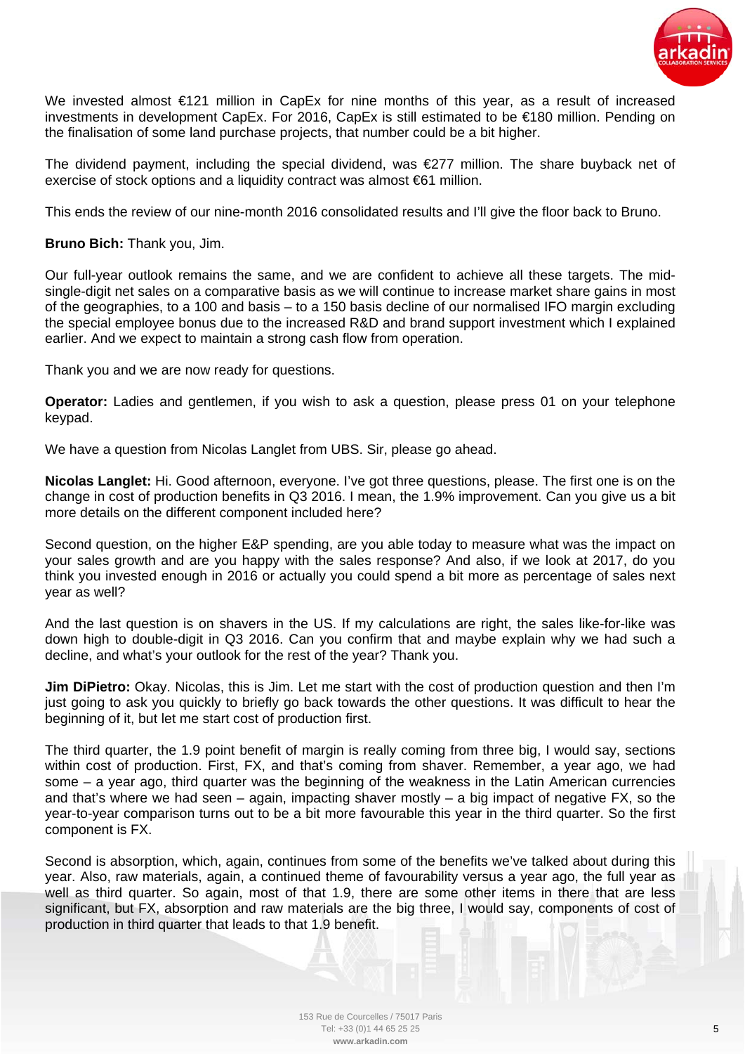

We invested almost €121 million in CapEx for nine months of this year, as a result of increased investments in development CapEx. For 2016, CapEx is still estimated to be €180 million. Pending on the finalisation of some land purchase projects, that number could be a bit higher.

The dividend payment, including the special dividend, was €277 million. The share buyback net of exercise of stock options and a liquidity contract was almost €61 million.

This ends the review of our nine-month 2016 consolidated results and I'll give the floor back to Bruno.

**Bruno Bich:** Thank you, Jim.

Our full-year outlook remains the same, and we are confident to achieve all these targets. The midsingle-digit net sales on a comparative basis as we will continue to increase market share gains in most of the geographies, to a 100 and basis – to a 150 basis decline of our normalised IFO margin excluding the special employee bonus due to the increased R&D and brand support investment which I explained earlier. And we expect to maintain a strong cash flow from operation.

Thank you and we are now ready for questions.

**Operator:** Ladies and gentlemen, if you wish to ask a question, please press 01 on your telephone keypad.

We have a question from Nicolas Langlet from UBS. Sir, please go ahead.

**Nicolas Langlet:** Hi. Good afternoon, everyone. I've got three questions, please. The first one is on the change in cost of production benefits in Q3 2016. I mean, the 1.9% improvement. Can you give us a bit more details on the different component included here?

Second question, on the higher E&P spending, are you able today to measure what was the impact on your sales growth and are you happy with the sales response? And also, if we look at 2017, do you think you invested enough in 2016 or actually you could spend a bit more as percentage of sales next year as well?

And the last question is on shavers in the US. If my calculations are right, the sales like-for-like was down high to double-digit in Q3 2016. Can you confirm that and maybe explain why we had such a decline, and what's your outlook for the rest of the year? Thank you.

**Jim DiPietro:** Okay. Nicolas, this is Jim. Let me start with the cost of production question and then I'm just going to ask you quickly to briefly go back towards the other questions. It was difficult to hear the beginning of it, but let me start cost of production first.

The third quarter, the 1.9 point benefit of margin is really coming from three big, I would say, sections within cost of production. First, FX, and that's coming from shaver. Remember, a year ago, we had some – a year ago, third quarter was the beginning of the weakness in the Latin American currencies and that's where we had seen – again, impacting shaver mostly – a big impact of negative FX, so the year-to-year comparison turns out to be a bit more favourable this year in the third quarter. So the first component is FX.

Second is absorption, which, again, continues from some of the benefits we've talked about during this year. Also, raw materials, again, a continued theme of favourability versus a year ago, the full year as well as third quarter. So again, most of that 1.9, there are some other items in there that are less significant, but FX, absorption and raw materials are the big three, I would say, components of cost of production in third quarter that leads to that 1.9 benefit.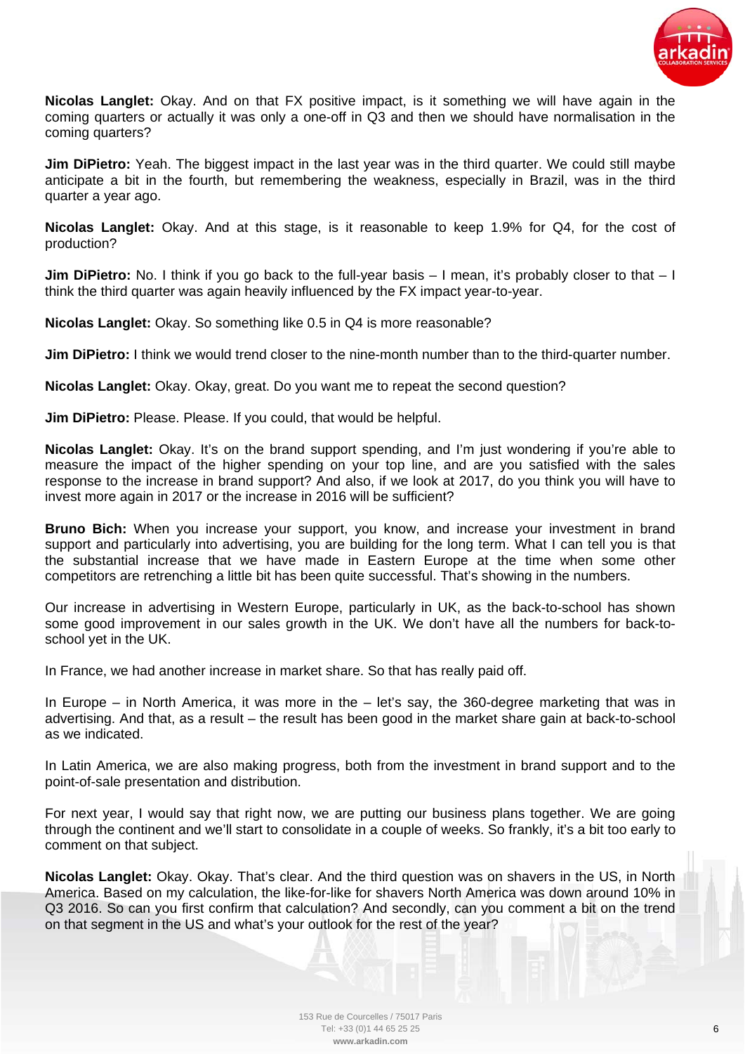

**Nicolas Langlet:** Okay. And on that FX positive impact, is it something we will have again in the coming quarters or actually it was only a one-off in Q3 and then we should have normalisation in the coming quarters?

**Jim DiPietro:** Yeah. The biggest impact in the last year was in the third quarter. We could still maybe anticipate a bit in the fourth, but remembering the weakness, especially in Brazil, was in the third quarter a year ago.

**Nicolas Langlet:** Okay. And at this stage, is it reasonable to keep 1.9% for Q4, for the cost of production?

**Jim DiPietro:** No. I think if you go back to the full-year basis – I mean, it's probably closer to that – I think the third quarter was again heavily influenced by the FX impact year-to-year.

**Nicolas Langlet:** Okay. So something like 0.5 in Q4 is more reasonable?

**Jim DiPietro:** I think we would trend closer to the nine-month number than to the third-quarter number.

**Nicolas Langlet:** Okay. Okay, great. Do you want me to repeat the second question?

**Jim DiPietro:** Please. Please. If you could, that would be helpful.

**Nicolas Langlet:** Okay. It's on the brand support spending, and I'm just wondering if you're able to measure the impact of the higher spending on your top line, and are you satisfied with the sales response to the increase in brand support? And also, if we look at 2017, do you think you will have to invest more again in 2017 or the increase in 2016 will be sufficient?

**Bruno Bich:** When you increase your support, you know, and increase your investment in brand support and particularly into advertising, you are building for the long term. What I can tell you is that the substantial increase that we have made in Eastern Europe at the time when some other competitors are retrenching a little bit has been quite successful. That's showing in the numbers.

Our increase in advertising in Western Europe, particularly in UK, as the back-to-school has shown some good improvement in our sales growth in the UK. We don't have all the numbers for back-toschool yet in the UK.

In France, we had another increase in market share. So that has really paid off.

In Europe – in North America, it was more in the – let's say, the 360-degree marketing that was in advertising. And that, as a result – the result has been good in the market share gain at back-to-school as we indicated.

In Latin America, we are also making progress, both from the investment in brand support and to the point-of-sale presentation and distribution.

For next year, I would say that right now, we are putting our business plans together. We are going through the continent and we'll start to consolidate in a couple of weeks. So frankly, it's a bit too early to comment on that subject.

**Nicolas Langlet:** Okay. Okay. That's clear. And the third question was on shavers in the US, in North America. Based on my calculation, the like-for-like for shavers North America was down around 10% in Q3 2016. So can you first confirm that calculation? And secondly, can you comment a bit on the trend on that segment in the US and what's your outlook for the rest of the year?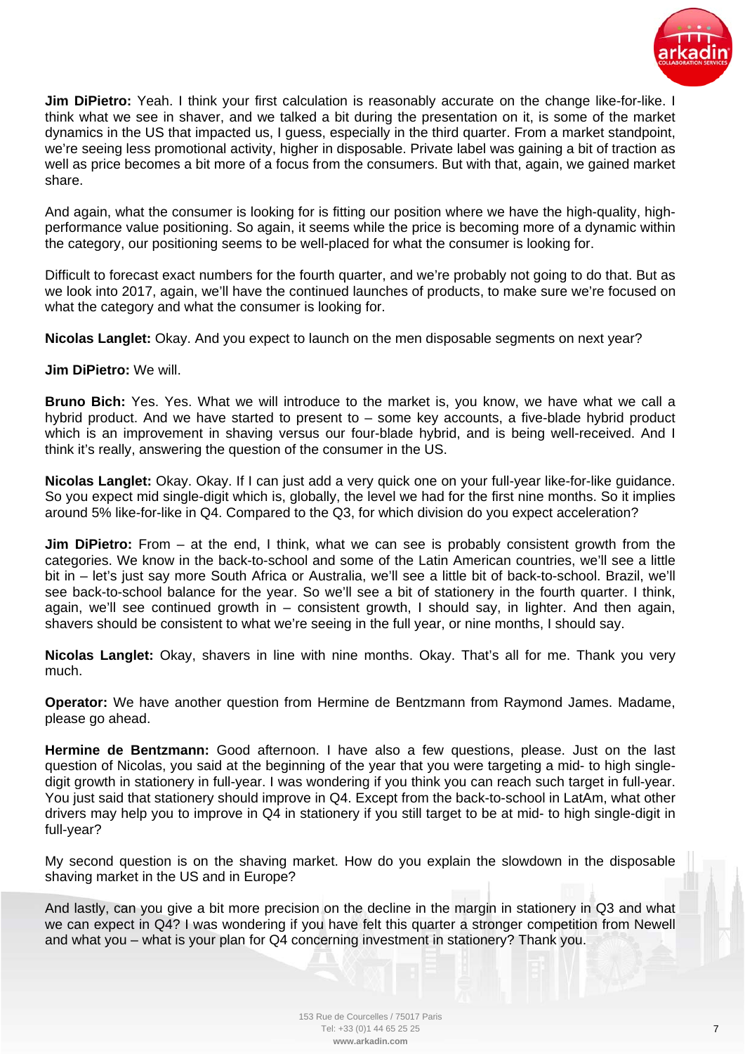

**Jim DiPietro:** Yeah. I think your first calculation is reasonably accurate on the change like-for-like. I think what we see in shaver, and we talked a bit during the presentation on it, is some of the market dynamics in the US that impacted us, I guess, especially in the third quarter. From a market standpoint, we're seeing less promotional activity, higher in disposable. Private label was gaining a bit of traction as well as price becomes a bit more of a focus from the consumers. But with that, again, we gained market share.

And again, what the consumer is looking for is fitting our position where we have the high-quality, highperformance value positioning. So again, it seems while the price is becoming more of a dynamic within the category, our positioning seems to be well-placed for what the consumer is looking for.

Difficult to forecast exact numbers for the fourth quarter, and we're probably not going to do that. But as we look into 2017, again, we'll have the continued launches of products, to make sure we're focused on what the category and what the consumer is looking for.

**Nicolas Langlet:** Okay. And you expect to launch on the men disposable segments on next year?

## **Jim DiPietro:** We will.

**Bruno Bich:** Yes. Yes. What we will introduce to the market is, you know, we have what we call a hybrid product. And we have started to present to – some key accounts, a five-blade hybrid product which is an improvement in shaving versus our four-blade hybrid, and is being well-received. And I think it's really, answering the question of the consumer in the US.

**Nicolas Langlet:** Okay. Okay. If I can just add a very quick one on your full-year like-for-like guidance. So you expect mid single-digit which is, globally, the level we had for the first nine months. So it implies around 5% like-for-like in Q4. Compared to the Q3, for which division do you expect acceleration?

**Jim DiPietro:** From – at the end, I think, what we can see is probably consistent growth from the categories. We know in the back-to-school and some of the Latin American countries, we'll see a little bit in – let's just say more South Africa or Australia, we'll see a little bit of back-to-school. Brazil, we'll see back-to-school balance for the year. So we'll see a bit of stationery in the fourth quarter. I think, again, we'll see continued growth in – consistent growth, I should say, in lighter. And then again, shavers should be consistent to what we're seeing in the full year, or nine months, I should say.

**Nicolas Langlet:** Okay, shavers in line with nine months. Okay. That's all for me. Thank you very much.

**Operator:** We have another question from Hermine de Bentzmann from Raymond James. Madame, please go ahead.

**Hermine de Bentzmann:** Good afternoon. I have also a few questions, please. Just on the last question of Nicolas, you said at the beginning of the year that you were targeting a mid- to high singledigit growth in stationery in full-year. I was wondering if you think you can reach such target in full-year. You just said that stationery should improve in Q4. Except from the back-to-school in LatAm, what other drivers may help you to improve in Q4 in stationery if you still target to be at mid- to high single-digit in full-year?

My second question is on the shaving market. How do you explain the slowdown in the disposable shaving market in the US and in Europe?

And lastly, can you give a bit more precision on the decline in the margin in stationery in Q3 and what we can expect in Q4? I was wondering if you have felt this quarter a stronger competition from Newell and what you – what is your plan for Q4 concerning investment in stationery? Thank you.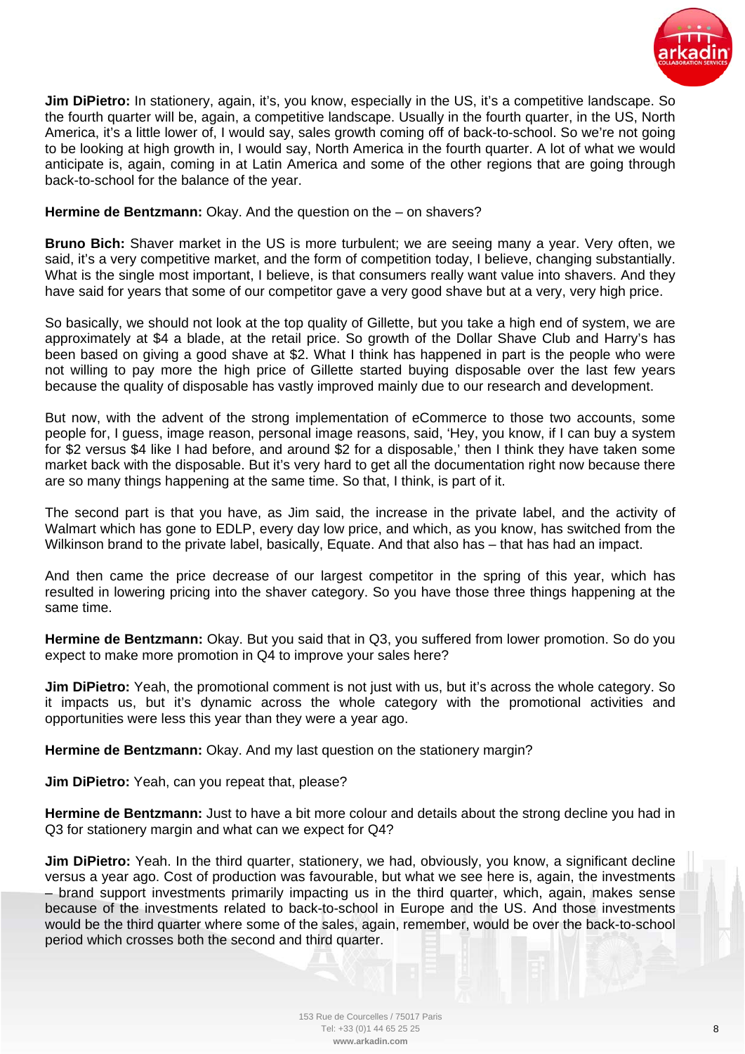

**Jim DiPietro:** In stationery, again, it's, you know, especially in the US, it's a competitive landscape. So the fourth quarter will be, again, a competitive landscape. Usually in the fourth quarter, in the US, North America, it's a little lower of, I would say, sales growth coming off of back-to-school. So we're not going to be looking at high growth in, I would say, North America in the fourth quarter. A lot of what we would anticipate is, again, coming in at Latin America and some of the other regions that are going through back-to-school for the balance of the year.

## **Hermine de Bentzmann:** Okay. And the question on the – on shavers?

**Bruno Bich:** Shaver market in the US is more turbulent; we are seeing many a year. Very often, we said, it's a very competitive market, and the form of competition today, I believe, changing substantially. What is the single most important. I believe, is that consumers really want value into shavers. And they have said for years that some of our competitor gave a very good shave but at a very, very high price.

So basically, we should not look at the top quality of Gillette, but you take a high end of system, we are approximately at \$4 a blade, at the retail price. So growth of the Dollar Shave Club and Harry's has been based on giving a good shave at \$2. What I think has happened in part is the people who were not willing to pay more the high price of Gillette started buying disposable over the last few years because the quality of disposable has vastly improved mainly due to our research and development.

But now, with the advent of the strong implementation of eCommerce to those two accounts, some people for, I guess, image reason, personal image reasons, said, 'Hey, you know, if I can buy a system for \$2 versus \$4 like I had before, and around \$2 for a disposable,' then I think they have taken some market back with the disposable. But it's very hard to get all the documentation right now because there are so many things happening at the same time. So that, I think, is part of it.

The second part is that you have, as Jim said, the increase in the private label, and the activity of Walmart which has gone to EDLP, every day low price, and which, as you know, has switched from the Wilkinson brand to the private label, basically, Equate. And that also has – that has had an impact.

And then came the price decrease of our largest competitor in the spring of this year, which has resulted in lowering pricing into the shaver category. So you have those three things happening at the same time.

**Hermine de Bentzmann:** Okay. But you said that in Q3, you suffered from lower promotion. So do you expect to make more promotion in Q4 to improve your sales here?

**Jim DiPietro:** Yeah, the promotional comment is not just with us, but it's across the whole category. So it impacts us, but it's dynamic across the whole category with the promotional activities and opportunities were less this year than they were a year ago.

**Hermine de Bentzmann:** Okay. And my last question on the stationery margin?

**Jim DiPietro:** Yeah, can you repeat that, please?

**Hermine de Bentzmann:** Just to have a bit more colour and details about the strong decline you had in Q3 for stationery margin and what can we expect for Q4?

**Jim DiPietro:** Yeah. In the third quarter, stationery, we had, obviously, you know, a significant decline versus a year ago. Cost of production was favourable, but what we see here is, again, the investments – brand support investments primarily impacting us in the third quarter, which, again, makes sense because of the investments related to back-to-school in Europe and the US. And those investments would be the third quarter where some of the sales, again, remember, would be over the back-to-school period which crosses both the second and third quarter.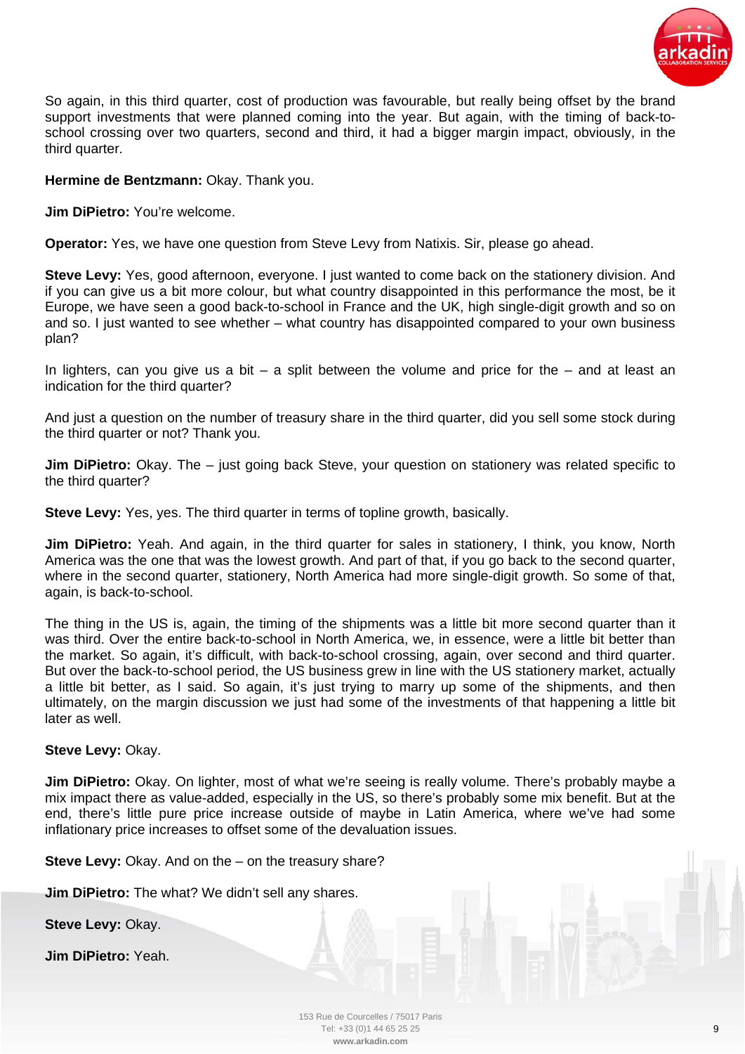

So again, in this third quarter, cost of production was favourable, but really being offset by the brand support investments that were planned coming into the year. But again, with the timing of back-toschool crossing over two quarters, second and third, it had a bigger margin impact, obviously, in the third quarter.

## **Hermine de Bentzmann:** Okay. Thank you.

**Jim DiPietro:** You're welcome.

**Operator:** Yes, we have one question from Steve Levy from Natixis. Sir, please go ahead.

**Steve Levy:** Yes, good afternoon, everyone. I just wanted to come back on the stationery division. And if you can give us a bit more colour, but what country disappointed in this performance the most, be it Europe, we have seen a good back-to-school in France and the UK, high single-digit growth and so on and so. I just wanted to see whether – what country has disappointed compared to your own business plan?

In lighters, can you give us a bit – a split between the volume and price for the – and at least an indication for the third quarter?

And just a question on the number of treasury share in the third quarter, did you sell some stock during the third quarter or not? Thank you.

**Jim DiPietro:** Okay. The – just going back Steve, your question on stationery was related specific to the third quarter?

**Steve Levy:** Yes, yes. The third quarter in terms of topline growth, basically.

**Jim DiPietro:** Yeah. And again, in the third quarter for sales in stationery, I think, you know, North America was the one that was the lowest growth. And part of that, if you go back to the second quarter, where in the second quarter, stationery, North America had more single-digit growth. So some of that, again, is back-to-school.

The thing in the US is, again, the timing of the shipments was a little bit more second quarter than it was third. Over the entire back-to-school in North America, we, in essence, were a little bit better than the market. So again, it's difficult, with back-to-school crossing, again, over second and third quarter. But over the back-to-school period, the US business grew in line with the US stationery market, actually a little bit better, as I said. So again, it's just trying to marry up some of the shipments, and then ultimately, on the margin discussion we just had some of the investments of that happening a little bit later as well.

## **Steve Levy:** Okay.

**Jim DiPietro:** Okay. On lighter, most of what we're seeing is really volume. There's probably maybe a mix impact there as value-added, especially in the US, so there's probably some mix benefit. But at the end, there's little pure price increase outside of maybe in Latin America, where we've had some inflationary price increases to offset some of the devaluation issues.

**Steve Levy:** Okay. And on the – on the treasury share?

**Jim DiPietro:** The what? We didn't sell any shares.

**Steve Levy:** Okay.

**Jim DiPietro:** Yeah.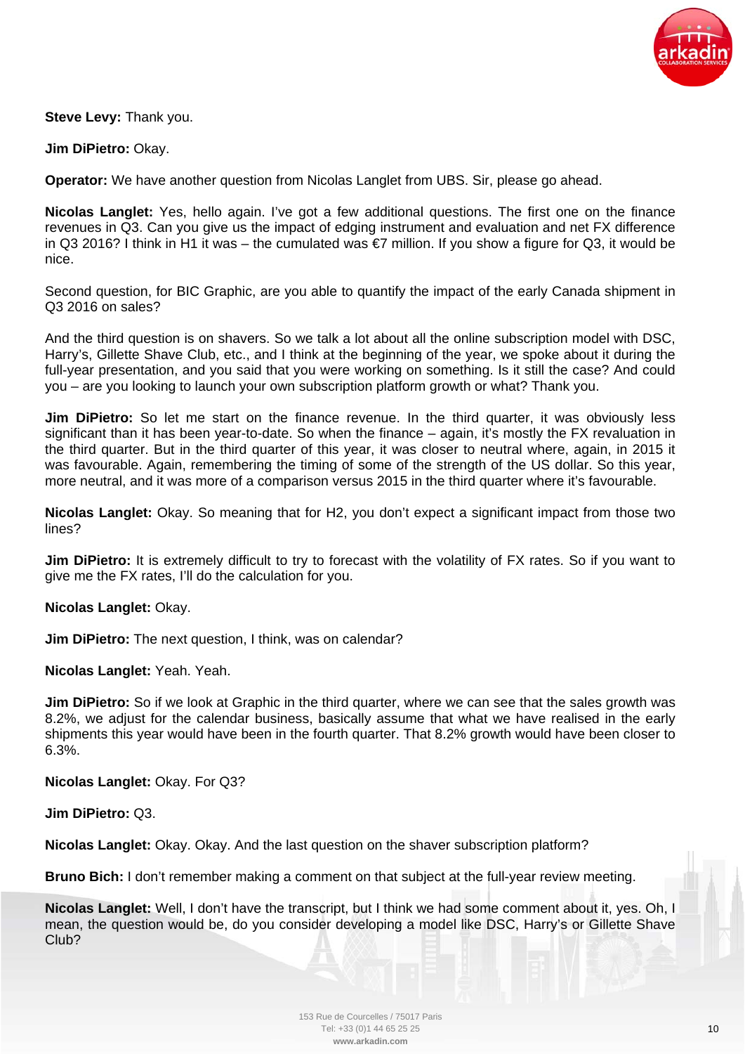

**Steve Levy:** Thank you.

**Jim DiPietro:** Okay.

**Operator:** We have another question from Nicolas Langlet from UBS. Sir, please go ahead.

**Nicolas Langlet:** Yes, hello again. I've got a few additional questions. The first one on the finance revenues in Q3. Can you give us the impact of edging instrument and evaluation and net FX difference in Q3 2016? I think in H1 it was – the cumulated was €7 million. If you show a figure for Q3, it would be nice.

Second question, for BIC Graphic, are you able to quantify the impact of the early Canada shipment in Q3 2016 on sales?

And the third question is on shavers. So we talk a lot about all the online subscription model with DSC, Harry's, Gillette Shave Club, etc., and I think at the beginning of the year, we spoke about it during the full-year presentation, and you said that you were working on something. Is it still the case? And could you – are you looking to launch your own subscription platform growth or what? Thank you.

**Jim DiPietro:** So let me start on the finance revenue. In the third quarter, it was obviously less significant than it has been year-to-date. So when the finance – again, it's mostly the FX revaluation in the third quarter. But in the third quarter of this year, it was closer to neutral where, again, in 2015 it was favourable. Again, remembering the timing of some of the strength of the US dollar. So this year, more neutral, and it was more of a comparison versus 2015 in the third quarter where it's favourable.

**Nicolas Langlet:** Okay. So meaning that for H2, you don't expect a significant impact from those two lines?

**Jim DiPietro:** It is extremely difficult to try to forecast with the volatility of FX rates. So if you want to give me the FX rates, I'll do the calculation for you.

**Nicolas Langlet:** Okay.

**Jim DiPietro:** The next question, I think, was on calendar?

**Nicolas Langlet:** Yeah. Yeah.

**Jim DiPietro:** So if we look at Graphic in the third quarter, where we can see that the sales growth was 8.2%, we adjust for the calendar business, basically assume that what we have realised in the early shipments this year would have been in the fourth quarter. That 8.2% growth would have been closer to 6.3%.

**Nicolas Langlet:** Okay. For Q3?

**Jim DiPietro:** Q3.

**Nicolas Langlet:** Okay. Okay. And the last question on the shaver subscription platform?

**Bruno Bich:** I don't remember making a comment on that subject at the full-year review meeting.

**Nicolas Langlet:** Well, I don't have the transcript, but I think we had some comment about it, yes. Oh, I mean, the question would be, do you consider developing a model like DSC, Harry's or Gillette Shave Club?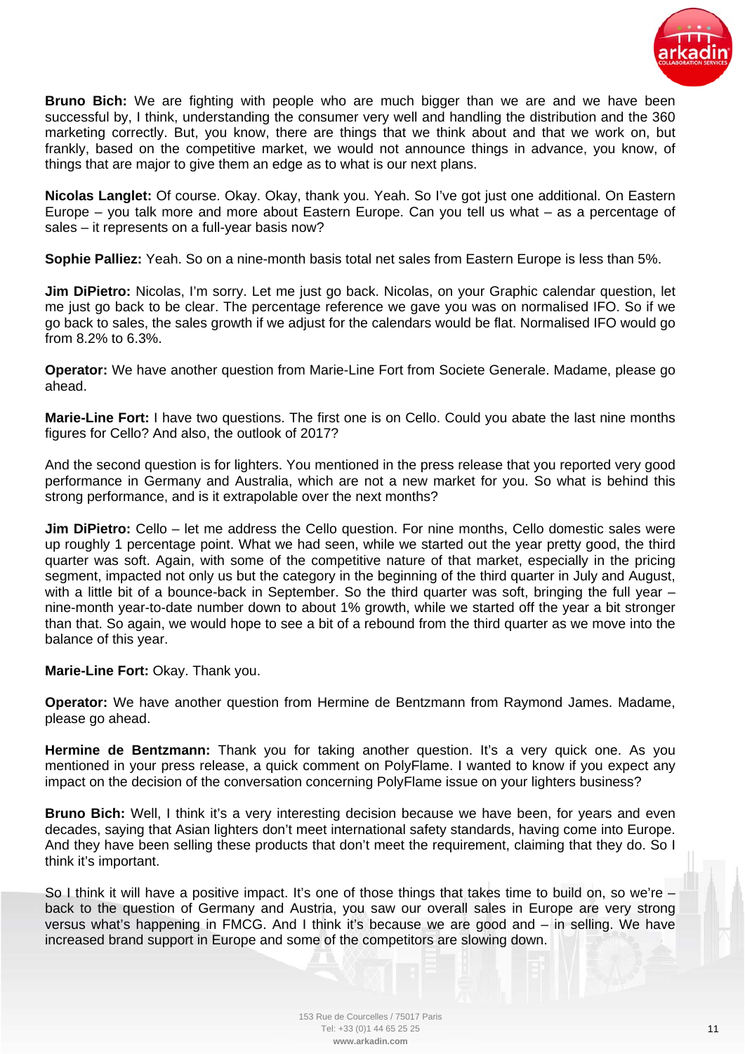

**Bruno Bich:** We are fighting with people who are much bigger than we are and we have been successful by, I think, understanding the consumer very well and handling the distribution and the 360 marketing correctly. But, you know, there are things that we think about and that we work on, but frankly, based on the competitive market, we would not announce things in advance, you know, of things that are major to give them an edge as to what is our next plans.

**Nicolas Langlet:** Of course. Okay. Okay, thank you. Yeah. So I've got just one additional. On Eastern Europe – you talk more and more about Eastern Europe. Can you tell us what – as a percentage of sales – it represents on a full-year basis now?

**Sophie Palliez:** Yeah. So on a nine-month basis total net sales from Eastern Europe is less than 5%.

**Jim DiPietro:** Nicolas, I'm sorry. Let me just go back. Nicolas, on your Graphic calendar question, let me just go back to be clear. The percentage reference we gave you was on normalised IFO. So if we go back to sales, the sales growth if we adjust for the calendars would be flat. Normalised IFO would go from 8.2% to 6.3%.

**Operator:** We have another question from Marie-Line Fort from Societe Generale. Madame, please go ahead.

**Marie-Line Fort:** I have two questions. The first one is on Cello. Could you abate the last nine months figures for Cello? And also, the outlook of 2017?

And the second question is for lighters. You mentioned in the press release that you reported very good performance in Germany and Australia, which are not a new market for you. So what is behind this strong performance, and is it extrapolable over the next months?

**Jim DiPietro:** Cello – let me address the Cello question. For nine months, Cello domestic sales were up roughly 1 percentage point. What we had seen, while we started out the year pretty good, the third quarter was soft. Again, with some of the competitive nature of that market, especially in the pricing segment, impacted not only us but the category in the beginning of the third quarter in July and August, with a little bit of a bounce-back in September. So the third quarter was soft, bringing the full year – nine-month year-to-date number down to about 1% growth, while we started off the year a bit stronger than that. So again, we would hope to see a bit of a rebound from the third quarter as we move into the balance of this year.

**Marie-Line Fort:** Okay. Thank you.

**Operator:** We have another question from Hermine de Bentzmann from Raymond James. Madame, please go ahead.

**Hermine de Bentzmann:** Thank you for taking another question. It's a very quick one. As you mentioned in your press release, a quick comment on PolyFlame. I wanted to know if you expect any impact on the decision of the conversation concerning PolyFlame issue on your lighters business?

**Bruno Bich:** Well, I think it's a very interesting decision because we have been, for years and even decades, saying that Asian lighters don't meet international safety standards, having come into Europe. And they have been selling these products that don't meet the requirement, claiming that they do. So I think it's important.

So I think it will have a positive impact. It's one of those things that takes time to build on, so we're – back to the question of Germany and Austria, you saw our overall sales in Europe are very strong versus what's happening in FMCG. And I think it's because we are good and – in selling. We have increased brand support in Europe and some of the competitors are slowing down.